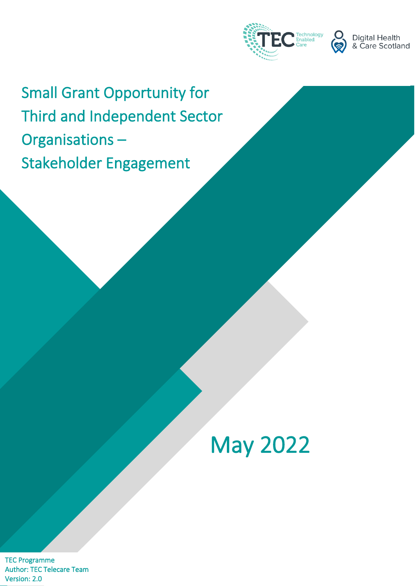



Small Grant Opportunity for Third and Independent Sector Organisations – Stakeholder Engagement

# May 2022

TEC Programme Author: TEC Telecare Team Version: 2.0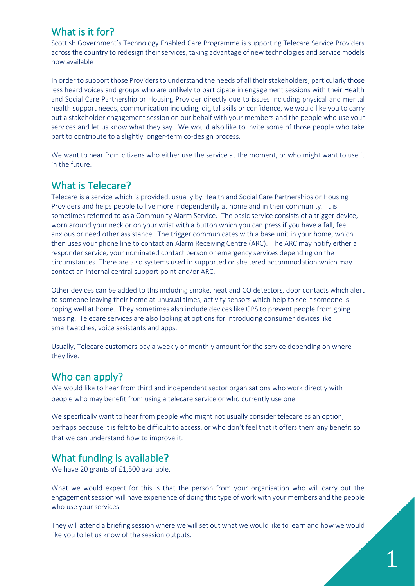## What is it for?

Scottish Government's Technology Enabled Care Programme is supporting Telecare Service Providers across the country to redesign their services, taking advantage of new technologies and service models now available

In order to support those Providers to understand the needs of all their stakeholders, particularly those less heard voices and groups who are unlikely to participate in engagement sessions with their Health and Social Care Partnership or Housing Provider directly due to issues including physical and mental health support needs, communication including, digital skills or confidence, we would like you to carry out a stakeholder engagement session on our behalf with your members and the people who use your services and let us know what they say. We would also like to invite some of those people who take part to contribute to a slightly longer-term co-design process.

We want to hear from citizens who either use the service at the moment, or who might want to use it in the future.

#### What is Telecare?

Telecare is a service which is provided, usually by Health and Social Care Partnerships or Housing Providers and helps people to live more independently at home and in their community. It is sometimes referred to as a Community Alarm Service. The basic service consists of a trigger device, worn around your neck or on your wrist with a button which you can press if you have a fall, feel anxious or need other assistance. The trigger communicates with a base unit in your home, which then uses your phone line to contact an Alarm Receiving Centre (ARC). The ARC may notify either a responder service, your nominated contact person or emergency services depending on the circumstances. There are also systems used in supported or sheltered accommodation which may contact an internal central support point and/or ARC.

Other devices can be added to this including smoke, heat and CO detectors, door contacts which alert to someone leaving their home at unusual times, activity sensors which help to see if someone is coping well at home. They sometimes also include devices like GPS to prevent people from going missing. Telecare services are also looking at options for introducing consumer devices like smartwatches, voice assistants and apps.

Usually, Telecare customers pay a weekly or monthly amount for the service depending on where they live.

#### Who can apply?

We would like to hear from third and independent sector organisations who work directly with people who may benefit from using a telecare service or who currently use one.

We specifically want to hear from people who might not usually consider telecare as an option, perhaps because it is felt to be difficult to access, or who don't feel that it offers them any benefit so that we can understand how to improve it.

## What funding is available?

We have 20 grants of £1,500 available.

What we would expect for this is that the person from your organisation who will carry out the engagement session will have experience of doing this type of work with your members and the people who use your services.

They will attend a briefing session where we will set out what we would like to learn and how we would like you to let us know of the session outputs.